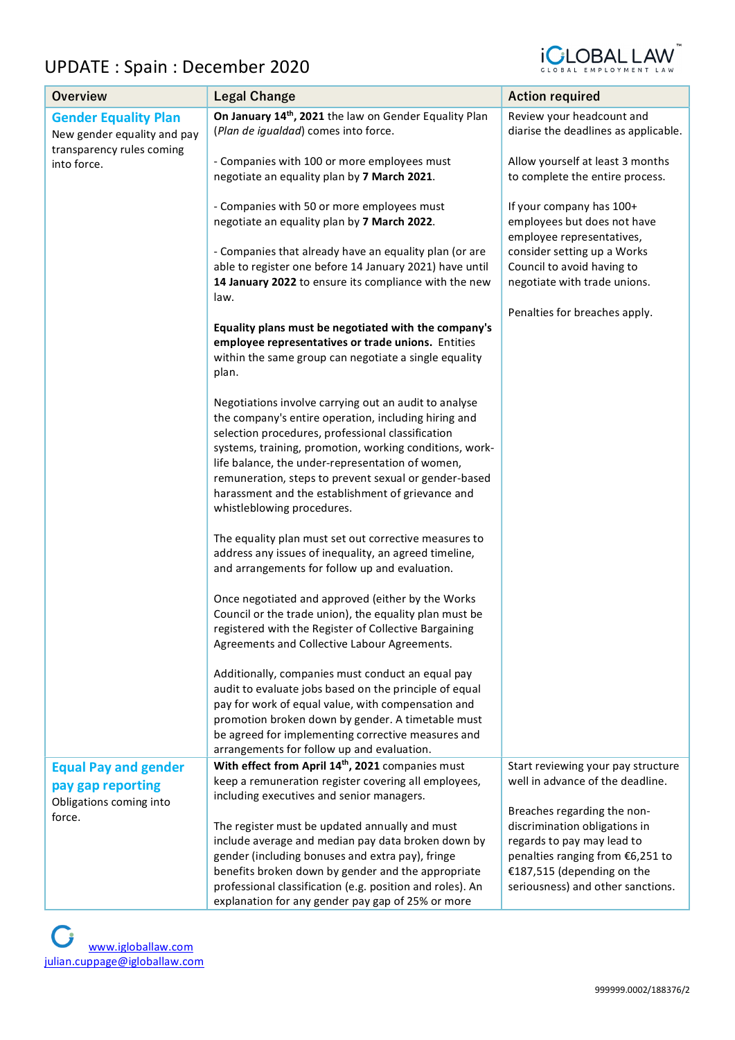## UPDATE : Spain : December 2020



| <b>Overview</b>                                                         | <b>Legal Change</b>                                                                                         | <b>Action required</b>                                                 |
|-------------------------------------------------------------------------|-------------------------------------------------------------------------------------------------------------|------------------------------------------------------------------------|
| <b>Gender Equality Plan</b>                                             | On January 14th, 2021 the law on Gender Equality Plan                                                       | Review your headcount and                                              |
| New gender equality and pay<br>transparency rules coming<br>into force. | (Plan de igualdad) comes into force.                                                                        | diarise the deadlines as applicable.                                   |
|                                                                         | - Companies with 100 or more employees must                                                                 | Allow yourself at least 3 months                                       |
|                                                                         | negotiate an equality plan by 7 March 2021.                                                                 | to complete the entire process.                                        |
|                                                                         | - Companies with 50 or more employees must                                                                  | If your company has 100+                                               |
|                                                                         | negotiate an equality plan by 7 March 2022.                                                                 | employees but does not have<br>employee representatives,               |
|                                                                         | - Companies that already have an equality plan (or are                                                      | consider setting up a Works                                            |
|                                                                         | able to register one before 14 January 2021) have until                                                     | Council to avoid having to                                             |
|                                                                         | 14 January 2022 to ensure its compliance with the new<br>law.                                               | negotiate with trade unions.                                           |
|                                                                         |                                                                                                             | Penalties for breaches apply.                                          |
|                                                                         | Equality plans must be negotiated with the company's                                                        |                                                                        |
|                                                                         | employee representatives or trade unions. Entities                                                          |                                                                        |
|                                                                         | within the same group can negotiate a single equality                                                       |                                                                        |
|                                                                         | plan.                                                                                                       |                                                                        |
|                                                                         | Negotiations involve carrying out an audit to analyse                                                       |                                                                        |
|                                                                         | the company's entire operation, including hiring and                                                        |                                                                        |
|                                                                         | selection procedures, professional classification                                                           |                                                                        |
|                                                                         | systems, training, promotion, working conditions, work-                                                     |                                                                        |
|                                                                         | life balance, the under-representation of women,<br>remuneration, steps to prevent sexual or gender-based   |                                                                        |
|                                                                         | harassment and the establishment of grievance and                                                           |                                                                        |
|                                                                         | whistleblowing procedures.                                                                                  |                                                                        |
|                                                                         |                                                                                                             |                                                                        |
|                                                                         | The equality plan must set out corrective measures to                                                       |                                                                        |
|                                                                         | address any issues of inequality, an agreed timeline,                                                       |                                                                        |
|                                                                         | and arrangements for follow up and evaluation.                                                              |                                                                        |
|                                                                         | Once negotiated and approved (either by the Works                                                           |                                                                        |
|                                                                         | Council or the trade union), the equality plan must be                                                      |                                                                        |
|                                                                         | registered with the Register of Collective Bargaining                                                       |                                                                        |
|                                                                         | Agreements and Collective Labour Agreements.                                                                |                                                                        |
|                                                                         | Additionally, companies must conduct an equal pay                                                           |                                                                        |
|                                                                         | audit to evaluate jobs based on the principle of equal                                                      |                                                                        |
|                                                                         | pay for work of equal value, with compensation and                                                          |                                                                        |
|                                                                         | promotion broken down by gender. A timetable must                                                           |                                                                        |
|                                                                         | be agreed for implementing corrective measures and                                                          |                                                                        |
|                                                                         | arrangements for follow up and evaluation.<br>With effect from April 14 <sup>th</sup> , 2021 companies must |                                                                        |
| <b>Equal Pay and gender</b>                                             | keep a remuneration register covering all employees,                                                        | Start reviewing your pay structure<br>well in advance of the deadline. |
| pay gap reporting                                                       | including executives and senior managers.                                                                   |                                                                        |
| Obligations coming into                                                 |                                                                                                             | Breaches regarding the non-                                            |
| force.                                                                  | The register must be updated annually and must                                                              | discrimination obligations in                                          |
|                                                                         | include average and median pay data broken down by                                                          | regards to pay may lead to                                             |
|                                                                         | gender (including bonuses and extra pay), fringe                                                            | penalties ranging from €6,251 to                                       |
|                                                                         | benefits broken down by gender and the appropriate                                                          | €187,515 (depending on the                                             |
|                                                                         | professional classification (e.g. position and roles). An                                                   | seriousness) and other sanctions.                                      |
|                                                                         | explanation for any gender pay gap of 25% or more                                                           |                                                                        |